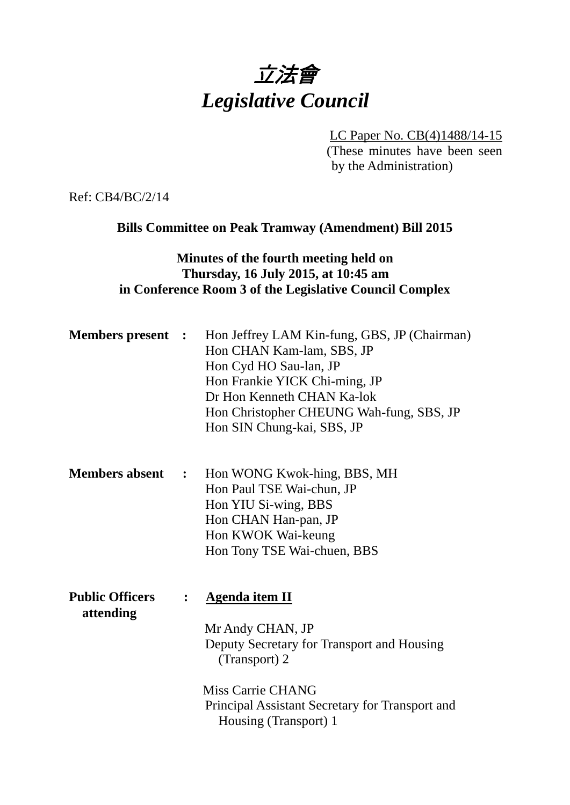# 立法會 *Legislative Council*

LC Paper No. CB(4)1488/14-15 (These minutes have been seen by the Administration)

Ref: CB4/BC/2/14

# **Bills Committee on Peak Tramway (Amendment) Bill 2015**

# **Minutes of the fourth meeting held on Thursday, 16 July 2015, at 10:45 am in Conference Room 3 of the Legislative Council Complex**

| <b>Members present :</b> |                      | Hon Jeffrey LAM Kin-fung, GBS, JP (Chairman)<br>Hon CHAN Kam-lam, SBS, JP<br>Hon Cyd HO Sau-lan, JP<br>Hon Frankie YICK Chi-ming, JP<br>Dr Hon Kenneth CHAN Ka-lok<br>Hon Christopher CHEUNG Wah-fung, SBS, JP<br>Hon SIN Chung-kai, SBS, JP |
|--------------------------|----------------------|----------------------------------------------------------------------------------------------------------------------------------------------------------------------------------------------------------------------------------------------|
| <b>Members absent</b>    | $\ddot{\phantom{1}}$ | Hon WONG Kwok-hing, BBS, MH<br>Hon Paul TSE Wai-chun, JP<br>Hon YIU Si-wing, BBS                                                                                                                                                             |

Hon YIU Si-wing, BBS Hon CHAN Han-pan, JP Hon KWOK Wai-keung Hon Tony TSE Wai-chuen, BBS

Public Officers : Agenda item II **attending** Mr Andy CHAN, JP Deputy Secretary for Transport and Housing (Transport) 2

> Miss Carrie CHANG Principal Assistant Secretary for Transport and Housing (Transport) 1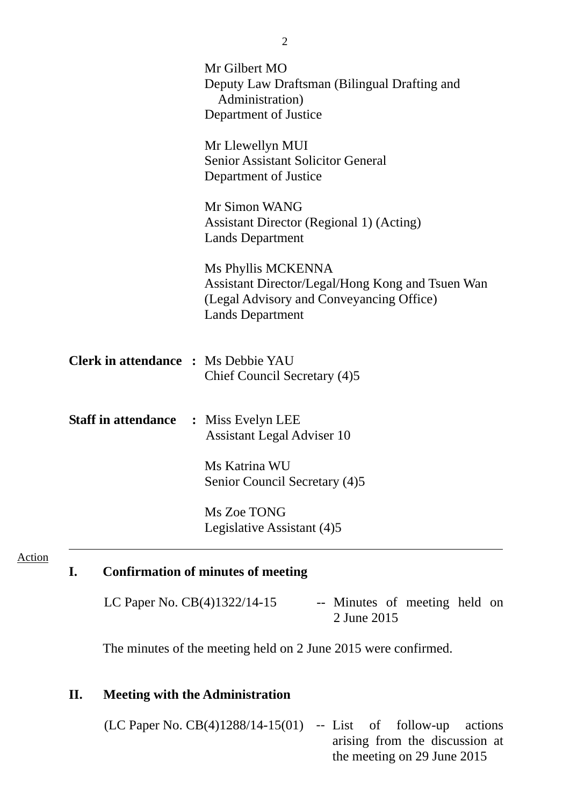|        |                                              | Mr Gilbert MO<br>Deputy Law Draftsman (Bilingual Drafting and<br>Administration)<br>Department of Justice                                     |
|--------|----------------------------------------------|-----------------------------------------------------------------------------------------------------------------------------------------------|
|        |                                              | Mr Llewellyn MUI<br><b>Senior Assistant Solicitor General</b><br>Department of Justice                                                        |
|        |                                              | Mr Simon WANG<br><b>Assistant Director (Regional 1) (Acting)</b><br><b>Lands Department</b>                                                   |
|        |                                              | Ms Phyllis MCKENNA<br>Assistant Director/Legal/Hong Kong and Tsuen Wan<br>(Legal Advisory and Conveyancing Office)<br><b>Lands Department</b> |
|        | <b>Clerk in attendance : Ms Debbie YAU</b>   | Chief Council Secretary (4)5                                                                                                                  |
|        | <b>Staff in attendance : Miss Evelyn LEE</b> | <b>Assistant Legal Adviser 10</b>                                                                                                             |
|        |                                              | Ms Katrina WU<br>Senior Council Secretary (4)5                                                                                                |
|        |                                              | Ms Zoe TONG<br>Legislative Assistant (4)5                                                                                                     |
| Action |                                              |                                                                                                                                               |

# **I. Confirmation of minutes of meeting**

LC Paper No.  $CB(4)1322/14-15$  -- Minutes of meeting held on 2 June 2015

The minutes of the meeting held on 2 June 2015 were confirmed.

# **II. Meeting with the Administration**

(LC Paper No.  $CB(4)1288/14-15(01)$  -- List of follow-up actions arising from the discussion at the meeting on 29 June 2015

2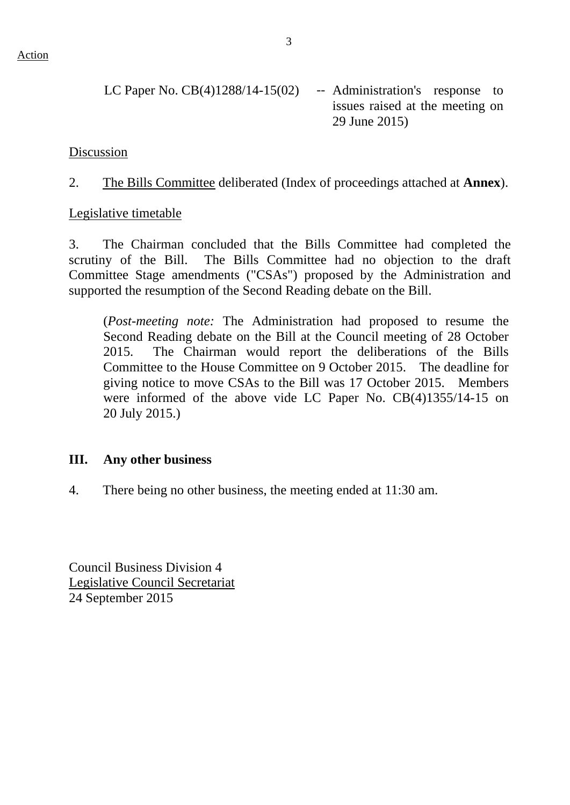**Action** 

```
LC Paper No. CB(4)1288/14-15(02) -- Administration's response to
                          issues raised at the meeting on 
                          29 June 2015)
```
Discussion

2. The Bills Committee deliberated (Index of proceedings attached at **Annex**).

### Legislative timetable

3. The Chairman concluded that the Bills Committee had completed the scrutiny of the Bill. The Bills Committee had no objection to the draft Committee Stage amendments ("CSAs") proposed by the Administration and supported the resumption of the Second Reading debate on the Bill.

(*Post-meeting note:* The Administration had proposed to resume the Second Reading debate on the Bill at the Council meeting of 28 October 2015. The Chairman would report the deliberations of the Bills Committee to the House Committee on 9 October 2015. The deadline for giving notice to move CSAs to the Bill was 17 October 2015. Members were informed of the above vide LC Paper No. CB(4)1355/14-15 on 20 July 2015.)

# **III. Any other business**

4. There being no other business, the meeting ended at 11:30 am.

Council Business Division 4 Legislative Council Secretariat 24 September 2015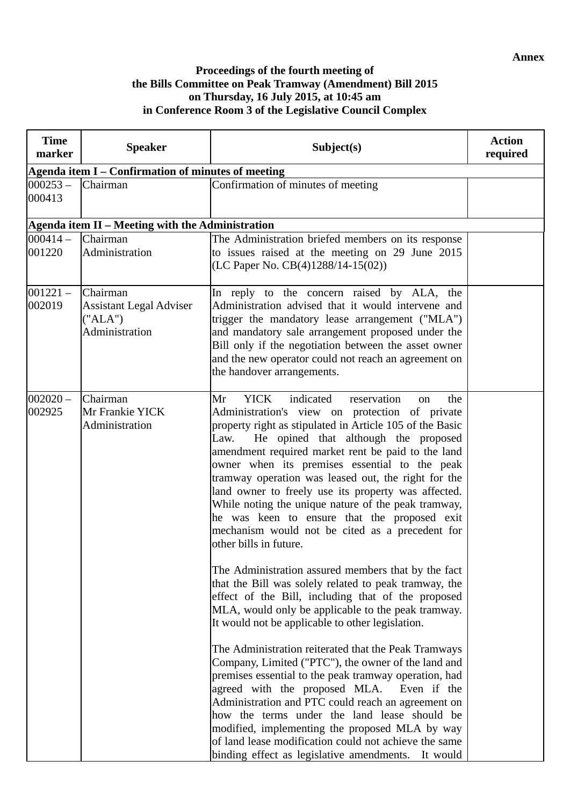**Annex** 

#### **Proceedings of the fourth meeting of the Bills Committee on Peak Tramway (Amendment) Bill 2015 on Thursday, 16 July 2015, at 10:45 am in Conference Room 3 of the Legislative Council Complex**

| <b>Time</b><br>marker | <b>Speaker</b>                                                          | Subject(s)                                                                                                                                                                                                                                                                                                                                                                                                                                                                                                                                                                                                                                                                                                                                                                                                                                                                                                                                                                                                                                                                                                                                                                                                                                                                                                                                                                                                                     | <b>Action</b><br>required |  |  |  |  |  |  |
|-----------------------|-------------------------------------------------------------------------|--------------------------------------------------------------------------------------------------------------------------------------------------------------------------------------------------------------------------------------------------------------------------------------------------------------------------------------------------------------------------------------------------------------------------------------------------------------------------------------------------------------------------------------------------------------------------------------------------------------------------------------------------------------------------------------------------------------------------------------------------------------------------------------------------------------------------------------------------------------------------------------------------------------------------------------------------------------------------------------------------------------------------------------------------------------------------------------------------------------------------------------------------------------------------------------------------------------------------------------------------------------------------------------------------------------------------------------------------------------------------------------------------------------------------------|---------------------------|--|--|--|--|--|--|
|                       | Agenda item I - Confirmation of minutes of meeting                      |                                                                                                                                                                                                                                                                                                                                                                                                                                                                                                                                                                                                                                                                                                                                                                                                                                                                                                                                                                                                                                                                                                                                                                                                                                                                                                                                                                                                                                |                           |  |  |  |  |  |  |
| $000253 -$<br>000413  | Chairman                                                                | Confirmation of minutes of meeting                                                                                                                                                                                                                                                                                                                                                                                                                                                                                                                                                                                                                                                                                                                                                                                                                                                                                                                                                                                                                                                                                                                                                                                                                                                                                                                                                                                             |                           |  |  |  |  |  |  |
|                       | Agenda item II - Meeting with the Administration                        |                                                                                                                                                                                                                                                                                                                                                                                                                                                                                                                                                                                                                                                                                                                                                                                                                                                                                                                                                                                                                                                                                                                                                                                                                                                                                                                                                                                                                                |                           |  |  |  |  |  |  |
| $000414 -$<br>001220  | Chairman<br>Administration                                              | The Administration briefed members on its response<br>to issues raised at the meeting on 29 June 2015<br>(LC Paper No. CB(4)1288/14-15(02))                                                                                                                                                                                                                                                                                                                                                                                                                                                                                                                                                                                                                                                                                                                                                                                                                                                                                                                                                                                                                                                                                                                                                                                                                                                                                    |                           |  |  |  |  |  |  |
| $001221 -$<br>002019  | Chairman<br><b>Assistant Legal Adviser</b><br>("ALA")<br>Administration | In reply to the concern raised by ALA, the<br>Administration advised that it would intervene and<br>trigger the mandatory lease arrangement ("MLA")<br>and mandatory sale arrangement proposed under the<br>Bill only if the negotiation between the asset owner<br>and the new operator could not reach an agreement on<br>the handover arrangements.                                                                                                                                                                                                                                                                                                                                                                                                                                                                                                                                                                                                                                                                                                                                                                                                                                                                                                                                                                                                                                                                         |                           |  |  |  |  |  |  |
| $002020 -$<br>002925  | Chairman<br>Mr Frankie YICK<br>Administration                           | <b>YICK</b><br>indicated<br>reservation<br>Mr<br>the<br><sub>on</sub><br>Administration's view on protection of private<br>property right as stipulated in Article 105 of the Basic<br>He opined that although the proposed<br>Law.<br>amendment required market rent be paid to the land<br>owner when its premises essential to the peak<br>tramway operation was leased out, the right for the<br>land owner to freely use its property was affected.<br>While noting the unique nature of the peak tramway,<br>he was keen to ensure that the proposed exit<br>mechanism would not be cited as a precedent for<br>other bills in future.<br>The Administration assured members that by the fact<br>that the Bill was solely related to peak tramway, the<br>effect of the Bill, including that of the proposed<br>MLA, would only be applicable to the peak tramway.<br>It would not be applicable to other legislation.<br>The Administration reiterated that the Peak Tramways<br>Company, Limited ("PTC"), the owner of the land and<br>premises essential to the peak tramway operation, had<br>agreed with the proposed MLA.<br>Even if the<br>Administration and PTC could reach an agreement on<br>how the terms under the land lease should be<br>modified, implementing the proposed MLA by way<br>of land lease modification could not achieve the same<br>binding effect as legislative amendments.<br>It would |                           |  |  |  |  |  |  |